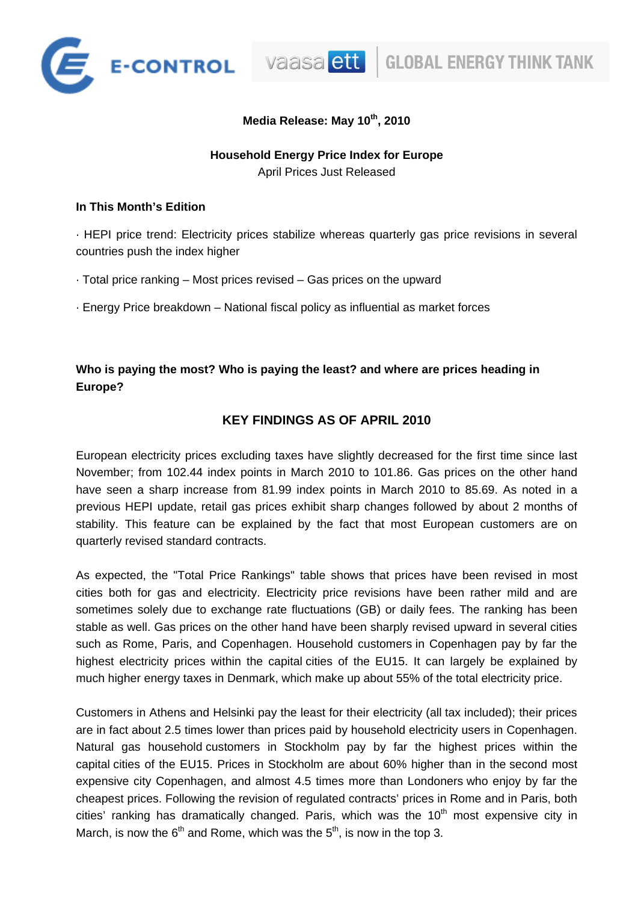

vaasa ett

## **Media Release: May 10th, 2010**

# **Household Energy Price Index for Europe**

April Prices Just Released

## **In This Month's Edition**

· HEPI price trend: Electricity prices stabilize whereas quarterly gas price revisions in several countries push the index higher

- · Total price ranking Most prices revised Gas prices on the upward
- · Energy Price breakdown National fiscal policy as influential as market forces

## **Who is paying the most? Who is paying the least? and where are prices heading in Europe?**

## **KEY FINDINGS AS OF APRIL 2010**

European electricity prices excluding taxes have slightly decreased for the first time since last November; from 102.44 index points in March 2010 to 101.86. Gas prices on the other hand have seen a sharp increase from 81.99 index points in March 2010 to 85.69. As noted in a previous HEPI update, retail gas prices exhibit sharp changes followed by about 2 months of stability. This feature can be explained by the fact that most European customers are on quarterly revised standard contracts.

As expected, the "Total Price Rankings" table shows that prices have been revised in most cities both for gas and electricity. Electricity price revisions have been rather mild and are sometimes solely due to exchange rate fluctuations (GB) or daily fees. The ranking has been stable as well. Gas prices on the other hand have been sharply revised upward in several cities such as Rome, Paris, and Copenhagen. Household customers in Copenhagen pay by far the highest electricity prices within the capital cities of the EU15. It can largely be explained by much higher energy taxes in Denmark, which make up about 55% of the total electricity price.

Customers in Athens and Helsinki pay the least for their electricity (all tax included); their prices are in fact about 2.5 times lower than prices paid by household electricity users in Copenhagen. Natural gas household customers in Stockholm pay by far the highest prices within the capital cities of the EU15. Prices in Stockholm are about 60% higher than in the second most expensive city Copenhagen, and almost 4.5 times more than Londoners who enjoy by far the cheapest prices. Following the revision of regulated contracts' prices in Rome and in Paris, both cities' ranking has dramatically changed. Paris, which was the  $10<sup>th</sup>$  most expensive city in March, is now the  $6<sup>th</sup>$  and Rome, which was the  $5<sup>th</sup>$ , is now in the top 3.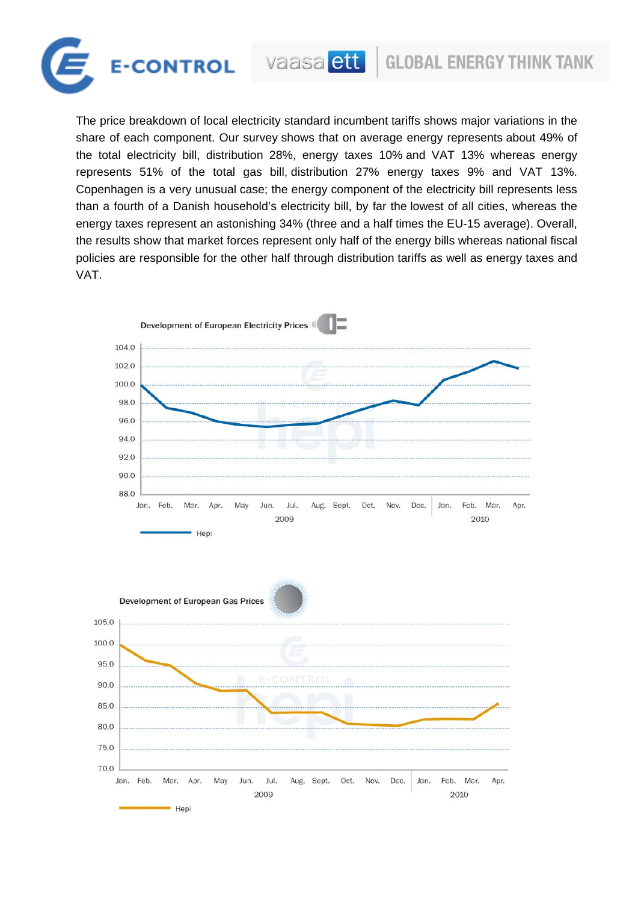

The price breakdown of local electricity standard incumbent tariffs shows major variations in the share of each component. Our survey shows that on average energy represents about 49% of the total electricity bill, distribution 28%, energy taxes 10% and VAT 13% whereas energy represents 51% of the total gas bill, distribution 27% energy taxes 9% and VAT 13%. Copenhagen is a very unusual case; the energy component of the electricity bill represents less than a fourth of a Danish household's electricity bill, by far the lowest of all cities, whereas the energy taxes represent an astonishing 34% (three and a half times the EU-15 average). Overall, the results show that market forces represent only half of the energy bills whereas national fiscal policies are responsible for the other half through distribution tariffs as well as energy taxes and VAT.



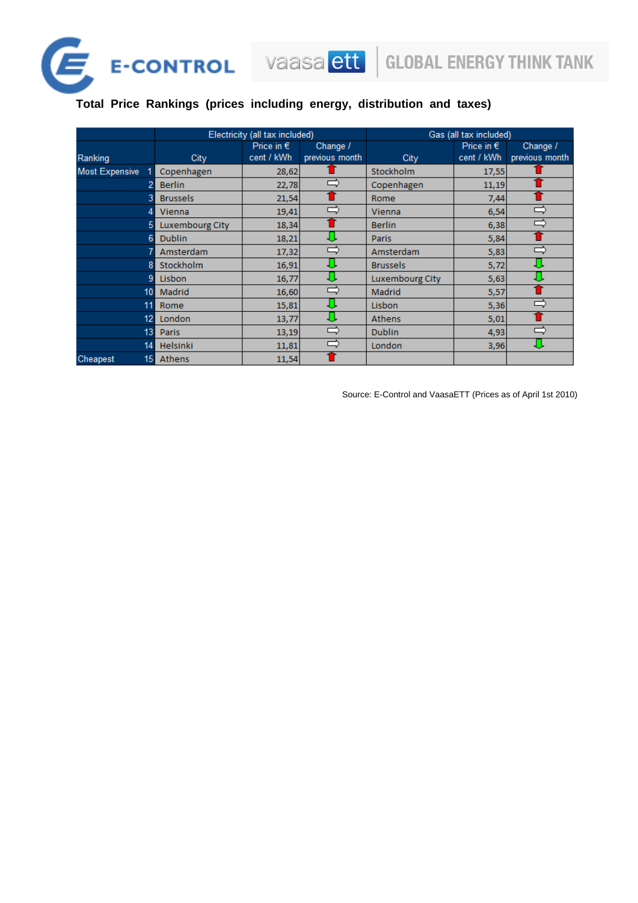

# E-CONTROL Vaasa ett

**Total Price Rankings (prices including energy, distribution and taxes)**

|                       | Electricity (all tax included) |                     |                | Gas (all tax included) |                     |                |
|-----------------------|--------------------------------|---------------------|----------------|------------------------|---------------------|----------------|
|                       |                                | Price in $\epsilon$ | Change /       |                        | Price in $\epsilon$ | Change /       |
| Ranking               | City                           | cent / kWh          | previous month | City                   | cent / kWh          | previous month |
| <b>Most Expensive</b> | Copenhagen                     | 28,62               |                | Stockholm              | 17,55               |                |
|                       | <b>Berlin</b>                  | 22,78               | =              | Copenhagen             | 11,19               |                |
| 3                     | <b>Brussels</b>                | 21,54               |                | Rome                   | 7,44                |                |
| 4                     | Vienna                         | 19,41               | ᆮ              | Vienna                 | 6,54                |                |
| 5                     | <b>Luxembourg City</b>         | 18,34               |                | <b>Berlin</b>          | 6,38                | ⊏              |
| 6                     | <b>Dublin</b>                  | 18,21               | JU             | Paris                  | 5,84                |                |
|                       | Amsterdam                      | 17,32               | ᆮ              | Amsterdam              | 5,83                |                |
| 8                     | Stockholm                      | 16,91               |                | <b>Brussels</b>        | 5,72                |                |
| 9                     | Lisbon                         | 16,77               |                | Luxembourg City        | 5,63                |                |
| 10 <sup>1</sup>       | Madrid                         | 16,60               | Ë              | Madrid                 | 5,57                |                |
| 11                    | Rome                           | 15,81               |                | Lisbon                 | 5,36                | ⊏              |
| 12 <sub>1</sub>       | London                         | 13,77               |                | <b>Athens</b>          | 5,01                |                |
| 13 <sup>1</sup>       | <b>Paris</b>                   | 13,19               | ⇨              | <b>Dublin</b>          | 4,93                |                |
| 14                    | <b>Helsinki</b>                | 11,81               | c              | London                 | 3,96                |                |
| Cheapest<br>15        | <b>Athens</b>                  | 11,54               |                |                        |                     |                |

Source: E-Control and VaasaETT (Prices as of April 1st 2010)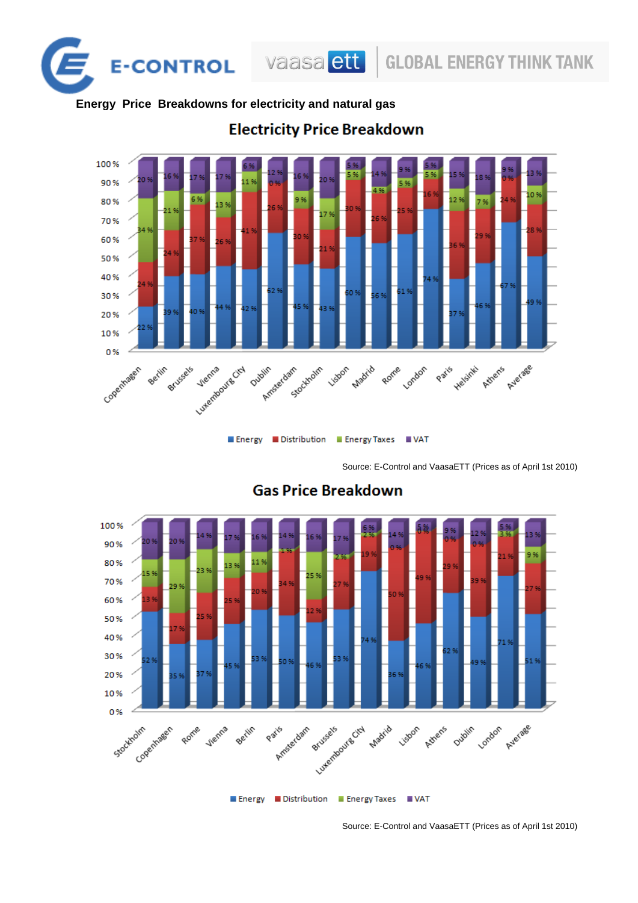

## **Energy Price Breakdowns for electricity and natural gas**



## **Electricity Price Breakdown**

Source: E-Control and VaasaETT (Prices as of April 1st 2010)



## **Gas Price Breakdown**

Source: E-Control and VaasaETT (Prices as of April 1st 2010)